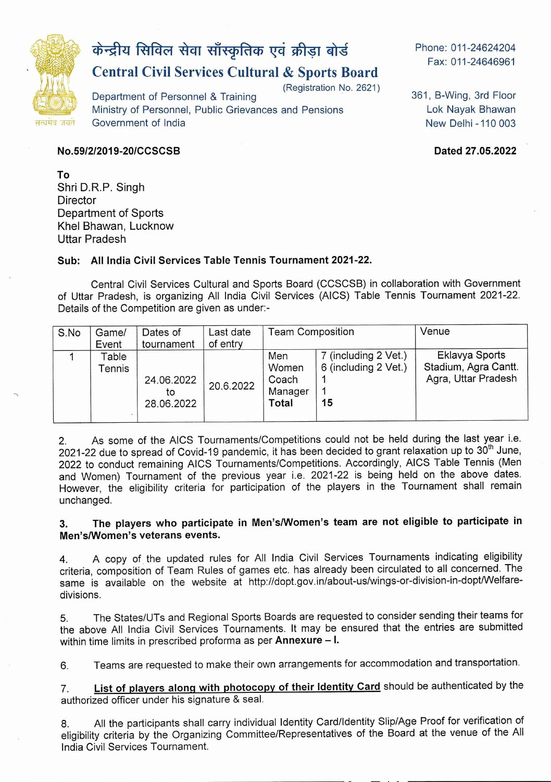

# केन्द्रीय सिविल सेवा साँस्कृतिक एवं क्रीड़ा बोर्ड

# **Central Civil Services Cultural & Sports Board**

(Registration No. 2621)

Department of Personnel & Training Ministry of Personnel, Public Grievances and Pensions Government of India

Phone: 011-24624204 Fax: 011-24646961

361, B-Wing, 3rd Floor Lok Nayak Bhawan New Delhi -110 003

#### **No.591212019-2OICCSCSB Dated 27.05.2022**

**To**  Shri D.R.P. Singh **Director** Department of Sports Khel Bhawan, Lucknow Uttar Pradesh

#### **Sub: All India Civil Services Table Tennis Tournament 2021 -22.**

Central Civil Services Cultural and Sports Board (CCSCSB) in collaboration with Government of Uttar Pradesh, is organizing All India Civil Services (AICS) Table Tennis Tournament 2021-22. Details of the Competition are given as under:-

| S.No | Game/<br>Event | Dates of<br>tournament         | Last date<br>of entry | <b>Team Composition</b>                   |                            | Venue                                       |
|------|----------------|--------------------------------|-----------------------|-------------------------------------------|----------------------------|---------------------------------------------|
|      | Table          |                                |                       | Men                                       | 7 (including 2 Vet.)       | Eklavya Sports                              |
|      | ⊺ennis         | 24.06.2022<br>to<br>28.06.2022 | 20.6.2022             | Women<br>Coach<br>Manager<br><b>Total</b> | 6 (including 2 Vet.)<br>15 | Stadium, Agra Cantt.<br>Agra, Uttar Pradesh |

2. As some of the AICS Tournaments/Competitions could not be held during the last year i.e. 2021-22 due to spread of Covid-19 pandemic, it has been decided to grant relaxation up to 30<sup>th</sup> June, 2022 to conduct remaining AICS Tournaments/Competitions. Accordingly, AICS Table Tennis (Men and Women) Tournament of the previous year i.e. 2021-22 is being held on the above dates. However, the eligibility criteria for participation of the players in the Tournament shall remain unchanged.

#### **3. The players who participate in Men's/Women's team are not eligible to participate in Men's/Women's veterans events.**

4. A copy of the updated rules for All India Civil Services Tournaments indicating eligibility criteria, composition of Team Rules of games etc. has already been circulated to all concerned. The same is available on the website at http://dopt.gov.in/about-us/wings-or-division-in-dopt/Welfaredivisions.

5. The States/UTs and Regional Sports Boards are requested to consider sending their teams for the above All India Civil Services Tournaments. It may be ensured that the entries are submitted within time limits in prescribed proforma as per **Annexure** — I.

6. Teams are requested to make their own arrangements for accommodation and transportation.

**7. List of players alonq with photocopy of their Identity Card** should be authenticated by the authorized officer under his signature & seal.

8. All the participants shall carry individual Identity Card/Identity Slip/Age Proof for verification of eligibility criteria by the Organizing Committee/Representatives of the Board at the venue of the All India Civil Services Tournament.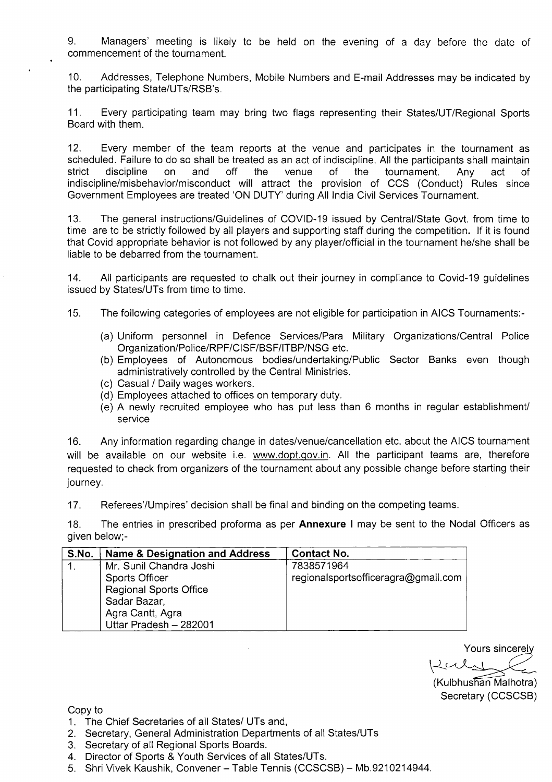9. Managers' meeting is likely to be held on the evening of a day before the date of commencement of the tournament.

10. Addresses, Telephone Numbers, Mobile Numbers and E-mail Addresses may be indicated by the participating State/UTs/RSB's.

11. Every participating team may bring two flags representing their States/UT/Regional Sports Board with them.

12. Every member of the team reports at the venue and participates in the tournament as scheduled. Failure to do so shall be treated as an act of indiscipline. All the participants shall maintain strict discipline on and off the venue of the tournament. Any act of strict discipline on and off the venue of the tournament. Any act of indiscipline/misbehavior/misconduct will attract the provision of CCS (Conduct) Rules since Government Employees are treated 'ON DUTY' during All India Civil Services Tournament.

13. The general instructions/Guidelines of COVID-19 issued by Central/State Govt. from time to time are to be strictly followed by all players and supporting staff during the competition. If it is found that Covid appropriate behavior is not followed by any player/official in the tournament he/she shall be liable to be debarred from the tournament.

14. All participants are requested to chalk out their journey in compliance to Covid-19 guidelines issued by States/UTs from time to time.

15. The following categories of employees are not eligible for participation in AICS Tournaments:-

- (a) Uniform personnel in Defence Services/Para Military Organizations/Central Police Organization/Police/RPF/Cl SF/BSF/ITBP/NSG etc.
- (b) Employees of Autonomous bodies/undertaking/Public Sector Banks even though administratively controlled by the Central Ministries.
- (c) Casual / Daily wages workers.
- (d) Employees attached to offices on temporary duty.
- (e) A newly recruited employee who has put less than 6 months in regular establishment/ service

16. Any information regarding change in dates/venue/cancellation etc. about the AICS tournament will be available on our website i.e. www.dopt.gov.in. All the participant teams are, therefore requested to check from organizers of the tournament about any possible change before starting their journey.

17. Referees/Umpires' decision shall be final and binding on the competing teams.

18. The entries in prescribed proforma as per **Annexure I** may be sent to the Nodal Officers as given below;-

| S.No. | Name & Designation and Address | <b>Contact No.</b>                  |
|-------|--------------------------------|-------------------------------------|
|       | Mr. Sunil Chandra Joshi        | 7838571964                          |
|       | <b>Sports Officer</b>          | regionalsportsofficeragra@gmail.com |
|       | <b>Regional Sports Office</b>  |                                     |
|       | Sadar Bazar,                   |                                     |
|       | Agra Cantt, Agra               |                                     |
|       | Uttar Pradesh - 282001         |                                     |

Yours sincerel  $Lcal$ 

(Kulbhushan Malhotra) Secretary (CCSCSB)

Copy to

- 1. The Chief Secretaries of all States/ UTs and,
- 2. Secretary, General Administration Departments of all States/UTs
- 3. Secretary of all Regional Sports Boards.
- 4. Director of Sports & Youth Services of all States/UTs.
- 5. Shri Vivek Kaushik, Convener Table Tennis (CCSCSB) Mb.9210214944.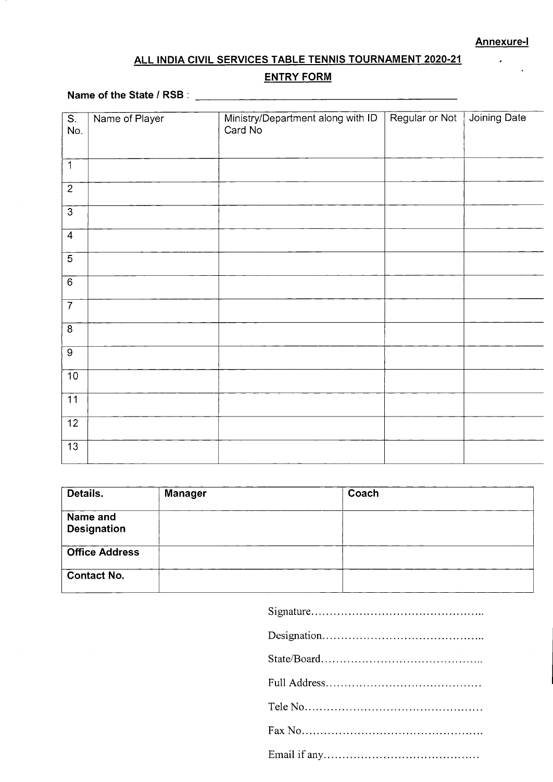$\ddot{\phantom{0}}$ 

## **ALL INDIA CIVIL SERVICES TABLE TENNIS TOURNAMENT 2020-21**

#### **ENTRY FORM**

## **Name of the State / RSB:**  $\frac{1}{2}$  *Letters and a letter and a letter and a letter and a letter and a letter and a letter and a letter and a letter and a letter and a letter and a letter and a letter and a letter and a*

| $\overline{\mathsf{S}}$ . | Name of Player | Ministry/Department along with ID<br>Card No | Regular or Not | Joining Date |
|---------------------------|----------------|----------------------------------------------|----------------|--------------|
| No.                       |                |                                              |                |              |
| $\mathbf{1}$              |                |                                              |                |              |
| $\mathbf{2}$              |                |                                              |                |              |
| $\overline{3}$            |                |                                              |                |              |
| $\overline{4}$            |                |                                              |                |              |
| $\overline{5}$            |                |                                              |                |              |
| $\overline{6}$            |                |                                              |                |              |
| $\overline{7}$            |                |                                              |                |              |
| $\overline{8}$            |                |                                              |                |              |
| $\overline{9}$            |                |                                              |                |              |
| $\overline{10}$           |                |                                              |                |              |
| $\overline{11}$           |                |                                              |                |              |
| $\overline{12}$           |                |                                              |                |              |
| $\overline{13}$           |                |                                              |                |              |

| Details.                       | Manager | Coach |  |
|--------------------------------|---------|-------|--|
| Name and<br><b>Designation</b> |         |       |  |
| <b>Office Address</b>          |         |       |  |
| <b>Contact No.</b>             |         |       |  |

Signature